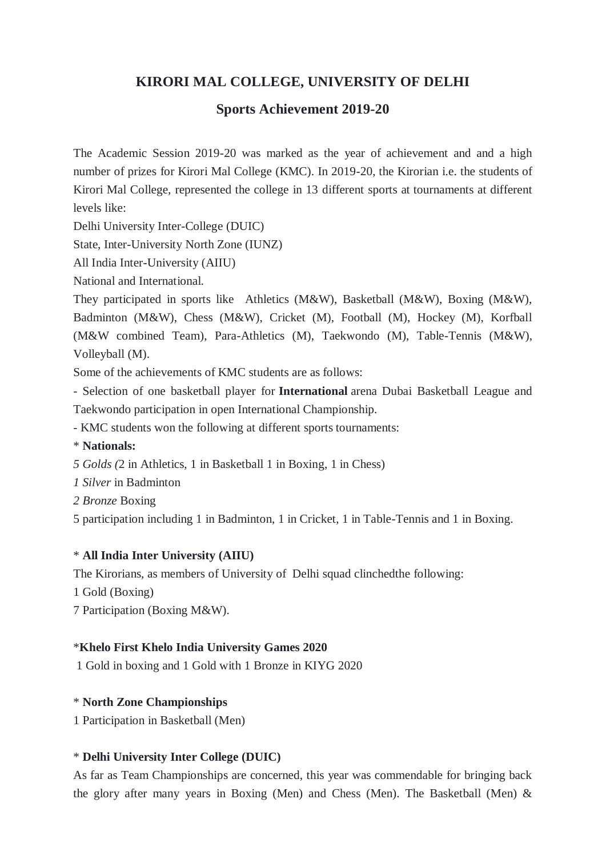# **KIRORI MAL COLLEGE, UNIVERSITY OF DELHI**

## **Sports Achievement 2019-20**

The Academic Session 2019-20 was marked as the year of achievement and and a high number of prizes for Kirori Mal College (KMC). In 2019-20, the Kirorian i.e. the students of Kirori Mal College, represented the college in 13 different sports at tournaments at different levels like:

Delhi University Inter-College (DUIC)

State, Inter-University North Zone (IUNZ)

All India Inter-University (AIIU)

National and International.

They participated in sports like Athletics (M&W), Basketball (M&W), Boxing (M&W), Badminton (M&W), Chess (M&W), Cricket (M), Football (M), Hockey (M), Korfball (M&W combined Team), Para-Athletics (M), Taekwondo (M), Table-Tennis (M&W), Volleyball (M).

Some of the achievements of KMC students are as follows:

- Selection of one basketball player for **International** arena Dubai Basketball League and Taekwondo participation in open International Championship.

- KMC students won the following at different sports tournaments:

\* **Nationals:**

*5 Golds (*2 in Athletics, 1 in Basketball 1 in Boxing, 1 in Chess)

*1 Silver* in Badminton

*2 Bronze* Boxing

5 participation including 1 in Badminton, 1 in Cricket, 1 in Table-Tennis and 1 in Boxing.

### \* **All India Inter University (AIIU)**

The Kirorians, as members of University of Delhi squad clinchedthe following:

1 Gold (Boxing)

7 Participation (Boxing M&W).

#### \***Khelo First Khelo India University Games 2020**

1 Gold in boxing and 1 Gold with 1 Bronze in KIYG 2020

### \* **North Zone Championships**

1 Participation in Basketball (Men)

#### \* **Delhi University Inter College (DUIC)**

As far as Team Championships are concerned, this year was commendable for bringing back the glory after many years in Boxing (Men) and Chess (Men). The Basketball (Men) &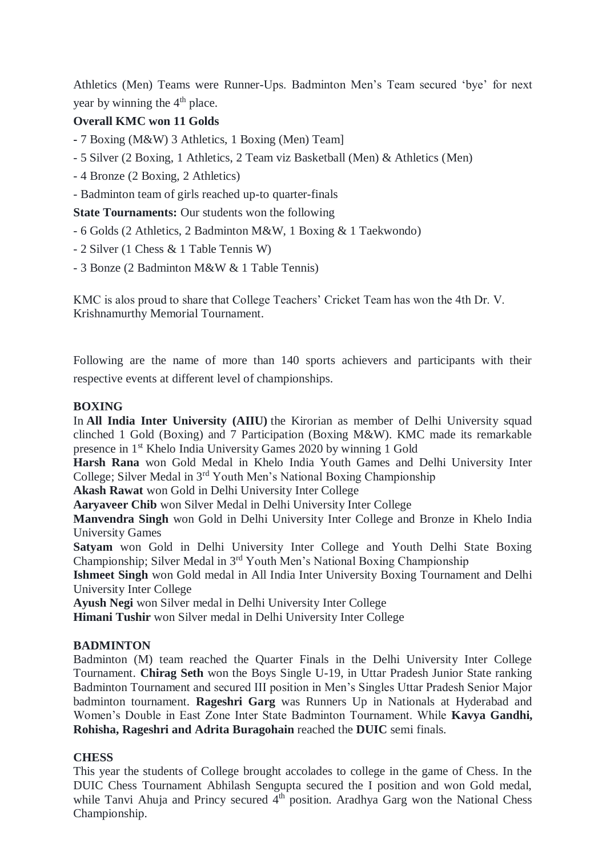Athletics (Men) Teams were Runner-Ups. Badminton Men's Team secured 'bye' for next year by winning the  $4<sup>th</sup>$  place.

## **Overall KMC won 11 Golds**

- **-** 7 Boxing (M&W) 3 Athletics, 1 Boxing (Men) Team]
- 5 Silver (2 Boxing, 1 Athletics, 2 Team viz Basketball (Men) & Athletics (Men)
- 4 Bronze (2 Boxing, 2 Athletics)
- Badminton team of girls reached up-to quarter-finals

**State Tournaments:** Our students won the following

- 6 Golds (2 Athletics, 2 Badminton M&W, 1 Boxing & 1 Taekwondo)
- 2 Silver (1 Chess & 1 Table Tennis W)
- 3 Bonze (2 Badminton M&W & 1 Table Tennis)

KMC is alos proud to share that College Teachers' Cricket Team has won the 4th Dr. V. Krishnamurthy Memorial Tournament.

Following are the name of more than 140 sports achievers and participants with their respective events at different level of championships.

## **BOXING**

In **All India Inter University (AIIU)** the Kirorian as member of Delhi University squad clinched 1 Gold (Boxing) and 7 Participation (Boxing M&W). KMC made its remarkable presence in 1st Khelo India University Games 2020 by winning 1 Gold

**Harsh Rana** won Gold Medal in Khelo India Youth Games and Delhi University Inter College; Silver Medal in 3rd Youth Men's National Boxing Championship

**Akash Rawat** won Gold in Delhi University Inter College

**Aaryaveer Chib** won Silver Medal in Delhi University Inter College

**Manvendra Singh** won Gold in Delhi University Inter College and Bronze in Khelo India University Games

**Satyam** won Gold in Delhi University Inter College and Youth Delhi State Boxing Championship; Silver Medal in 3rd Youth Men's National Boxing Championship

**Ishmeet Singh** won Gold medal in All India Inter University Boxing Tournament and Delhi University Inter College

**Ayush Negi** won Silver medal in Delhi University Inter College

**Himani Tushir** won Silver medal in Delhi University Inter College

## **BADMINTON**

Badminton (M) team reached the Quarter Finals in the Delhi University Inter College Tournament. **Chirag Seth** won the Boys Single U-19, in Uttar Pradesh Junior State ranking Badminton Tournament and secured III position in Men's Singles Uttar Pradesh Senior Major badminton tournament. **Rageshri Garg** was Runners Up in Nationals at Hyderabad and Women's Double in East Zone Inter State Badminton Tournament. While **Kavya Gandhi, Rohisha, Rageshri and Adrita Buragohain** reached the **DUIC** semi finals.

### **CHESS**

This year the students of College brought accolades to college in the game of Chess. In the DUIC Chess Tournament Abhilash Sengupta secured the I position and won Gold medal, while Tanvi Ahuja and Princy secured  $4<sup>th</sup>$  position. Aradhya Garg won the National Chess Championship.